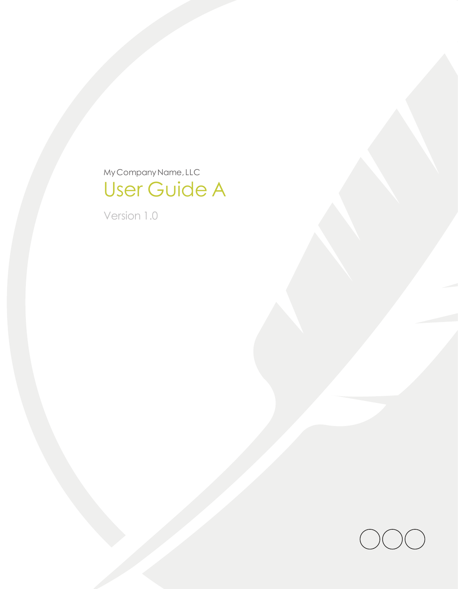MyCompanyName, LLC User Guide A

Version 1.0

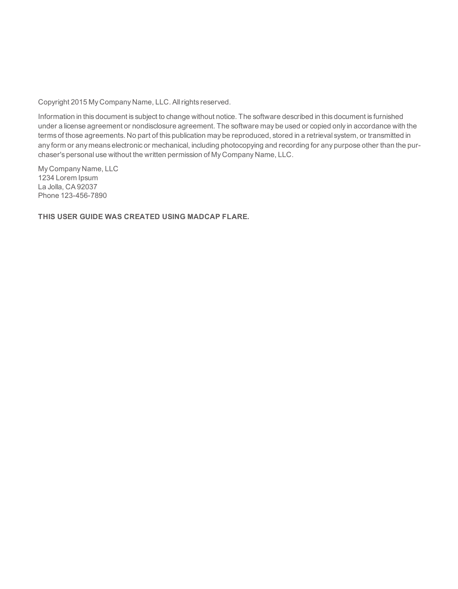Copyright 2015 My Company Name, LLC. All rights reserved.

Information in this document is subject to change without notice. The software described in this document is furnished under a license agreement or nondisclosure agreement. The software may be used or copied only in accordance with the terms of those agreements. No part of this publication may be reproduced, stored in a retrieval system, or transmitted in any form or any means electronic or mechanical, including photocopying and recording for any purpose other than the purchaser's personal use without the written permission of My Company Name, LLC.

My Company Name, LLC 1234 Lorem Ipsum La Jolla, CA 92037 Phone 123-456-7890

**THIS USER GUIDE WAS CREATED USING MADCAP FLARE.**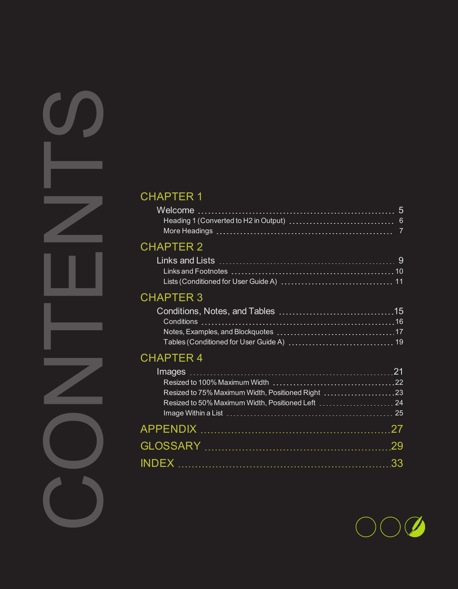# [CHAPTER](#page-8-0) 2

# [CHAPTER](#page-14-0) 3

# [CHAPTER](#page-20-0) 4

| <b>CHAPTER 1</b>                                                                                                           |    |
|----------------------------------------------------------------------------------------------------------------------------|----|
| <b>CHAPTER 2</b>                                                                                                           |    |
| <b>CHAPTER 3</b>                                                                                                           |    |
| <b>CHAPTER 4</b><br>Resized to 75% Maximum Width, Positioned Right 23<br>Resized to 50% Maximum Width, Positioned Left  24 |    |
|                                                                                                                            | 33 |
|                                                                                                                            |    |
|                                                                                                                            |    |

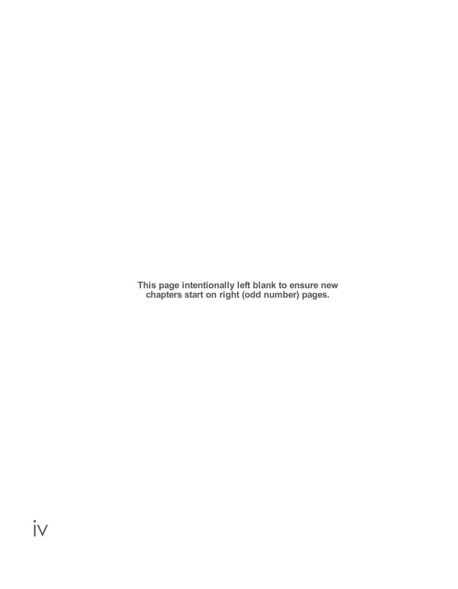**This page intentionally left blank to ensure new chapters start on right (odd number) pages.**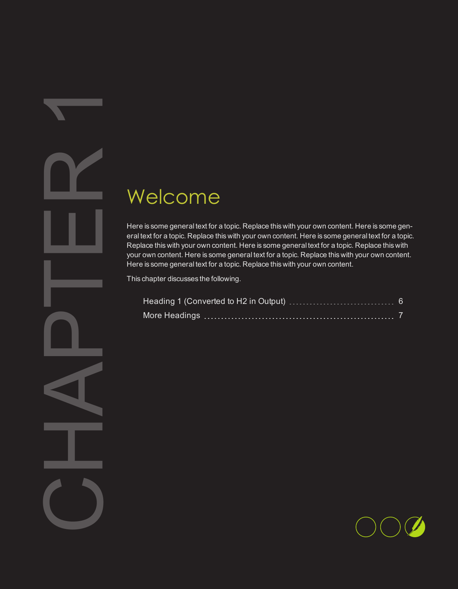# <span id="page-4-0"></span>Welcock<br>
Here is some gen<br>
eral text for a topi<br>
Pour own content<br>
Here is some gen<br>
This chapter disconnel<br>
This chapter disconnel<br>
More Head<br>
More Head<br>
More Head  $\blacktriangledown$

# <span id="page-4-1"></span>Welcome

Here is some general text for a topic. Replace this with your own content. Here is some general text for a topic. Replace this with your own content. Here is some general text for a topic. Replace this with your own content. Here is some general text for a topic. Replace this with your own content. Here is some general text for a topic. Replace this with your own content. Here is some general text for a topic. Replace this with your own content.

This chapter discusses the following.

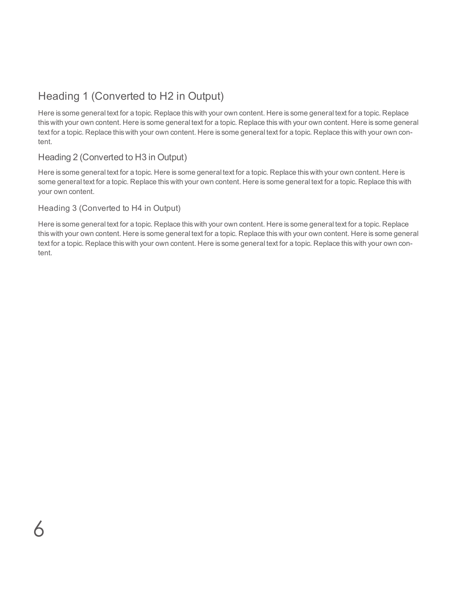# <span id="page-5-0"></span>Heading 1 (Converted to H2 in Output)

Here is some general text for a topic. Replace this with your own content. Here is some general text for a topic. Replace this with your own content. Here is some general text for a topic. Replace this with your own content. Here is some general text for a topic. Replace this with your own content. Here is some general text for a topic. Replace this with your own content.

# Heading 2 (Converted to H3 in Output)

Here is some general text for a topic. Here is some general text for a topic. Replace this with your own content. Here is some general text for a topic. Replace this with your own content. Here is some general text for a topic. Replace this with your own content.

#### Heading 3 (Converted to H4 in Output)

 $\overline{\mathsf{K}}$ 

Here is some general text for a topic. Replace this with your own content. Here is some general text for a topic. Replace this with your own content. Here is some general text for a topic. Replace this with your own content. Here is some general text for a topic. Replace this with your own content. Here is some general text for a topic. Replace this with your own content.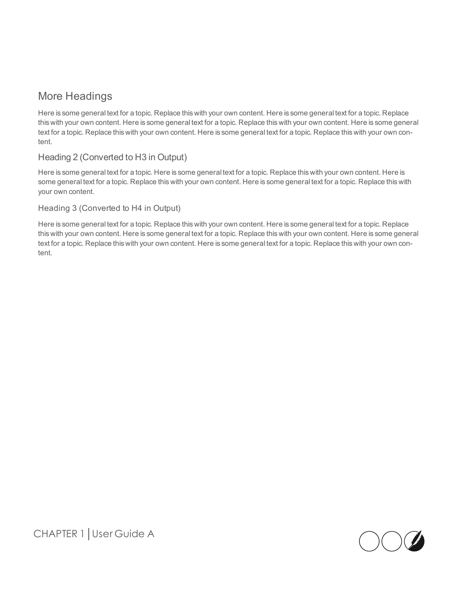# <span id="page-6-0"></span>More Headings

Here is some general text for a topic. Replace this with your own content. Here is some general text for a topic. Replace this with your own content. Here is some general text for a topic. Replace this with your own content. Here is some general text for a topic. Replace this with your own content. Here is some general text for a topic. Replace this with your own content.

# Heading 2 (Converted to H3 in Output)

Here is some general text for a topic. Here is some general text for a topic. Replace this with your own content. Here is some general text for a topic. Replace this with your own content. Here is some general text for a topic. Replace this with your own content.

#### Heading 3 (Converted to H4 in Output)

Here is some general text for a topic. Replace this with your own content. Here is some general text for a topic. Replace this with your own content. Here is some general text for a topic. Replace this with your own content. Here is some general text for a topic. Replace this with your own content. Here is some general text for a topic. Replace this with your own content.

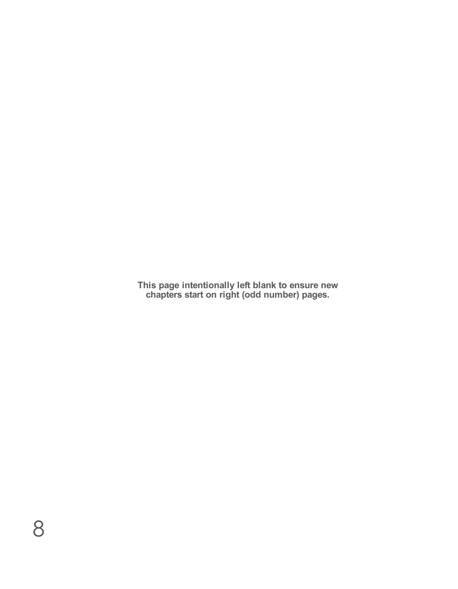**This page intentionally left blank to ensure new chapters start on right (odd number) pages.**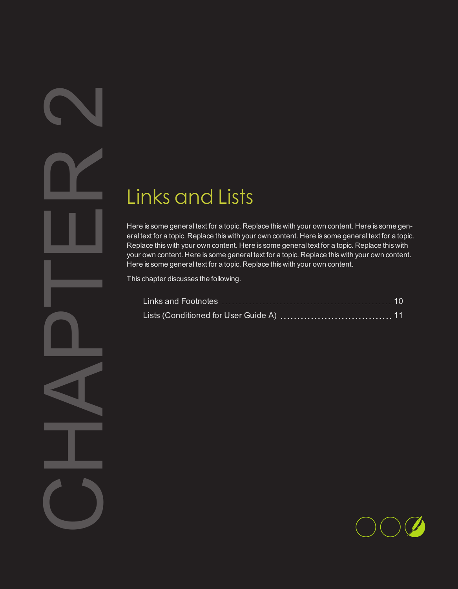# <span id="page-8-1"></span>Links and Lists

<span id="page-8-0"></span>2

Links C<br>
Here is some gen<br>
eral text for a topi<br>
Replace this with<br>
Here is some gen<br>
This chapter disc<br>
Links and<br>
Lists (Con Here is some general text for a topic. Replace this with your own content. Here is some general text for a topic. Replace this with your own content. Here is some general text for a topic. Replace this with your own content. Here is some general text for a topic. Replace this with your own content. Here is some general text for a topic. Replace this with your own content. Here is some general text for a topic. Replace this with your own content.

This chapter discusses the following.

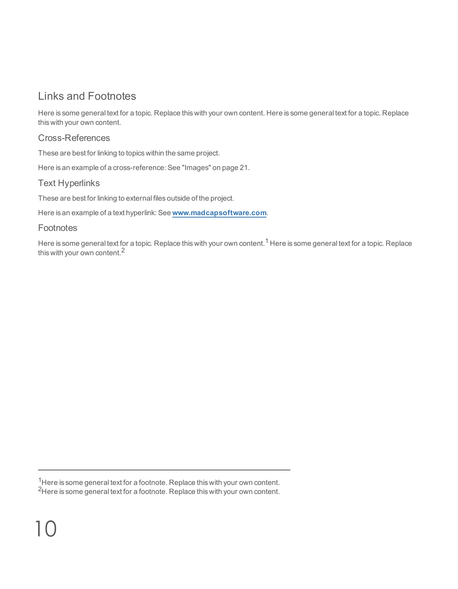# <span id="page-9-0"></span>Links and Footnotes

Here is some general text for a topic. Replace this with your own content. Here is some general text for a topic. Replace this with your own content.

# <span id="page-9-1"></span>Cross-References

These are best for linking to topics within the same project.

<span id="page-9-3"></span>Here is an example of a cross-reference: See ["Images"](#page-20-1) on page 21.

# Text Hyperlinks

These are best for linking to external files outside of the project.

<span id="page-9-2"></span>Here is an example of a text hyperlink: See **[www.madcapsoftware.com](http://www.madcapsoftware.com/)**.

# **Footnotes**

Here is some general text for a topic. Replace this with your own content.<sup>1</sup> Here is some general text for a topic. Replace this with your own content.<sup>2</sup>

 $1/2$ Here is some general text for a footnote. Replace this with your own content.

<sup>2</sup>Here is some general text for a footnote. Replace this with your own content.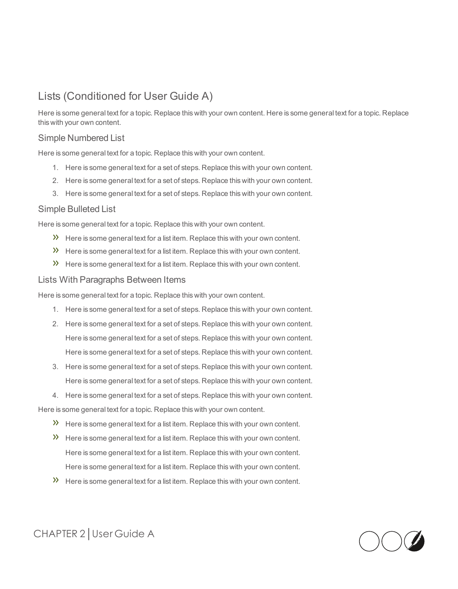# <span id="page-10-0"></span>Lists (Conditioned for User Guide A)

Here is some general text for a topic. Replace this with your own content. Here is some general text for a topic. Replace this with your own content.

# <span id="page-10-2"></span>Simple Numbered List

Here is some general text for a topic. Replace this with your own content.

- 1. Here is some general text for a set of steps. Replace this with your own content.
- 2. Here is some general text for a set of steps. Replace this with your own content.
- 3. Here is some general text for a set of steps. Replace this with your own content.

#### <span id="page-10-1"></span>Simple Bulleted List

Here is some general text for a topic. Replace this with your own content.

- $\lambda$  Here is some general text for a list item. Replace this with your own content.
- $\lambda$  Here is some general text for a list item. Replace this with your own content.
- $\mathcal{V}$  Here is some general text for a list item. Replace this with your own content.

#### Lists With Paragraphs Between Items

Here is some general text for a topic. Replace this with your own content.

- 1. Here is some general text for a set of steps. Replace this with your own content.
- 2. Here is some general text for a set of steps. Replace this with your own content. Here is some general text for a set of steps. Replace this with your own content. Here is some general text for a set of steps. Replace this with your own content.
- 3. Here is some general text for a set of steps. Replace this with your own content. Here is some general text for a set of steps. Replace this with your own content.
- 4. Here is some general text for a set of steps. Replace this with your own content.

Here is some general text for a topic. Replace this with your own content.

- $\mathcal{V}$  Here is some general text for a list item. Replace this with your own content.
- $\lambda$  Here is some general text for a list item. Replace this with your own content. Here is some general text for a list item. Replace this with your own content. Here is some general text for a list item. Replace this with your own content.
- $\lambda$  Here is some general text for a list item. Replace this with your own content.

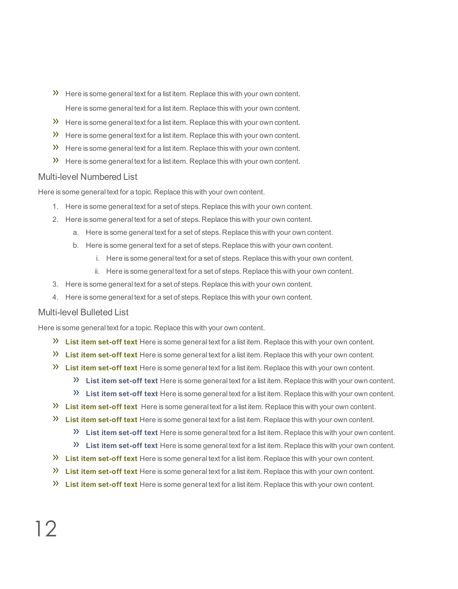- $\lambda$  Here is some general text for a list item. Replace this with your own content. Here is some general text for a list item. Replace this with your own content.
- $\lambda$  Here is some general text for a list item. Replace this with your own content.
- $\lambda$  Here is some general text for a list item. Replace this with your own content.
- $\mathcal{V}$  Here is some general text for a list item. Replace this with your own content.
- $\gg$ Here is some general text for a list item. Replace this with your own content.

#### <span id="page-11-0"></span>Multi-level Numbered List

Here is some general text for a topic. Replace this with your own content.

- 1. Here is some general text for a set of steps. Replace this with your own content.
- 2. Here is some general text for a set of steps. Replace this with your own content.
	- a. Here is some general text for a set of steps. Replace this with your own content.
	- b. Here is some general text for a set of steps. Replace this with your own content.
		- i. Here is some general text for a set of steps. Replace this with your own content.
		- ii. Here is some general text for a set of steps. Replace this with your own content.
- 3. Here is some general text for a set of steps. Replace this with your own content.
- 4. Here is some general text for a set of steps. Replace this with your own content.

#### Multi-level Bulleted List

Here is some general text for a topic. Replace this with your own content.

- **List item set-off text** Here is some general text for a list item. Replace this with your own content.
- **List item set-off text** Here is some general text for a list item. Replace this with your own content.
- **List item set-off text** Here is some general text for a list item. Replace this with your own content.
	- **List item set-off text** Here is some general text for a list item. Replace this with your own content.
	- **List item set-off text** Here is some general text for a list item. Replace this with your own content.
- **List item set-off text** Here is some general text for a list item. Replace this with your own content.
- **List item set-off text** Here is some general text for a list item. Replace this with your own content.
	- **List item set-off text** Here is some general text for a list item. Replace this with your own content.
	- **List item set-off text** Here is some general text for a list item. Replace this with your own content.
- **List item set-off text** Here is some general text for a list item. Replace this with your own content.
- **List item set-off text** Here is some general text for a list item. Replace this with your own content.
- **List item set-off text** Here is some general text for a list item. Replace this with your own content.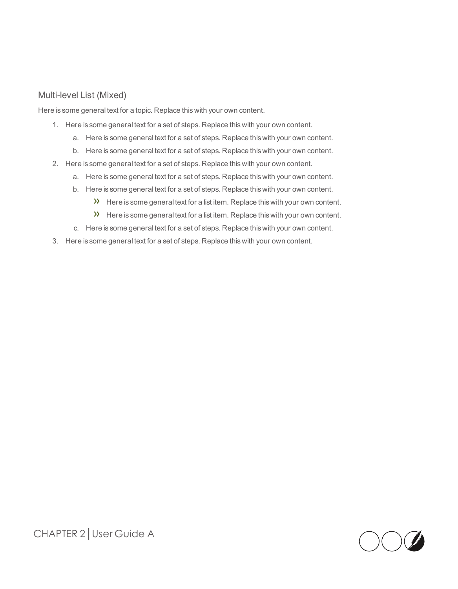# Multi-level List (Mixed)

Here is some general text for a topic. Replace this with your own content.

- 1. Here is some general text for a set of steps. Replace this with your own content.
	- a. Here is some general text for a set of steps. Replace this with your own content.
	- b. Here is some general text for a set of steps. Replace this with your own content.
- 2. Here is some general text for a set of steps. Replace this with your own content.
	- a. Here is some general text for a set of steps. Replace this with your own content.
	- b. Here is some general text for a set of steps. Replace this with your own content.
		- $\lambda$  Here is some general text for a list item. Replace this with your own content.
		- $\lambda$  Here is some general text for a list item. Replace this with your own content.
	- c. Here is some general text for a set of steps. Replace this with your own content.
- 3. Here is some general text for a set of steps. Replace this with your own content.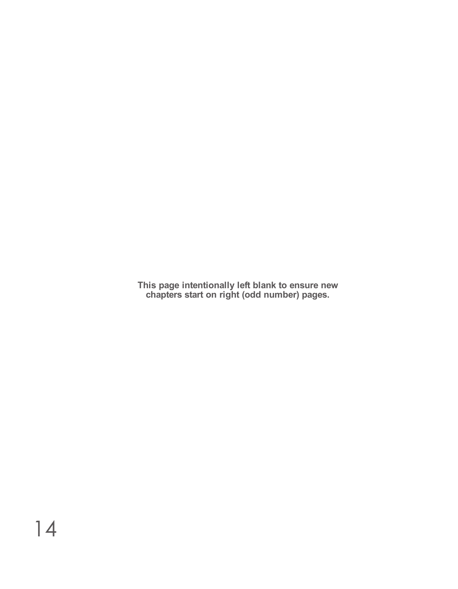**This page intentionally left blank to ensure new chapters start on right (odd number) pages.**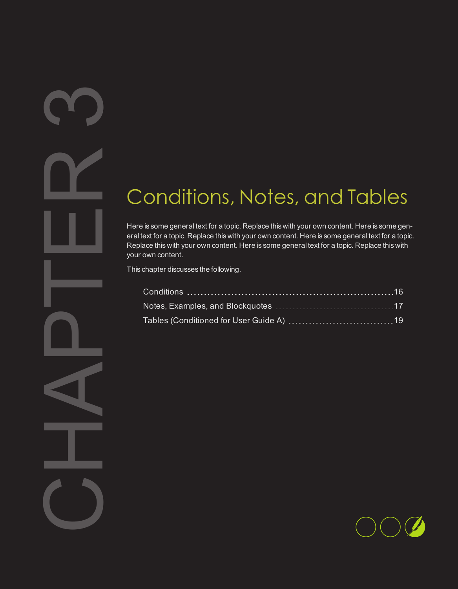# <span id="page-14-1"></span>Conditions, Notes, and Tables

Cond<br>
Here is some gen<br>
eral text for a topi<br>
Pour own content<br>
This chapter disc<br>
Conditions<br>
Notes, Exa<br>
Tables (Conditions<br>
Tables (Conditions Here is some general text for a topic. Replace this with your own content. Here is some general text for a topic. Replace this with your own content. Here is some general text for a topic. Replace this with your own content. Here is some general text for a topic. Replace this with your own content.

This chapter discusses the following.

<span id="page-14-0"></span><u>M</u>

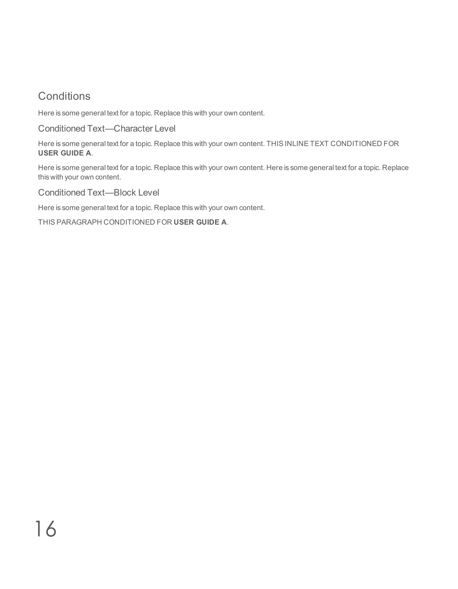# <span id="page-15-0"></span>**Conditions**

<span id="page-15-2"></span>Here is some general text for a topic. Replace this with your own content.

Conditioned Text—Character Level

Here is some general text for a topic. Replace this with your own content. THIS INLINE TEXT CONDITIONED FOR **USER GUIDE A**.

Here is some general text for a topic. Replace this with your own content. Here is some general text for a topic. Replace this with your own content.

<span id="page-15-1"></span>Conditioned Text—Block Level

Here is some general text for a topic. Replace this with your own content.

THIS PARAGRAPH CONDITIONED FOR **USER GUIDE A**.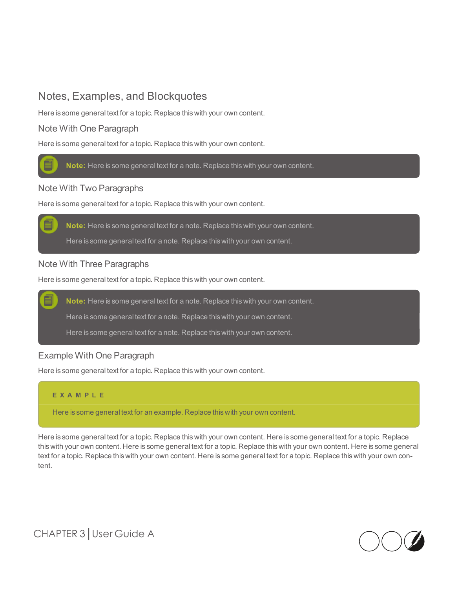# <span id="page-16-0"></span>Notes, Examples, and Blockquotes

Here is some general text for a topic. Replace this with your own content.

# Note With One Paragraph

Here is some general text for a topic. Replace this with your own content.



#### Note With Two Paragraphs

Here is some general text for a topic. Replace this with your own content.

**Note:** Here is some general text for a note. Replace this with your own content.

Here is some general text for a note. Replace this with your own content.

#### Note With Three Paragraphs

Here is some general text for a topic. Replace this with your own content.

**Note:** Here is some general text for a note. Replace this with your own content.

Here is some general text for a note. Replace this with your own content.

Here is some general text for a note. Replace this with your own content.

#### Example With One Paragraph

Here is some general text for a topic. Replace this with your own content.

#### **E X A M P L E**

Here is some general text for an example. Replace this with your own content.

Here is some general text for a topic. Replace this with your own content. Here is some general text for a topic. Replace this with your own content. Here is some general text for a topic. Replace this with your own content. Here is some general text for a topic. Replace this with your own content. Here is some general text for a topic. Replace this with your own content.



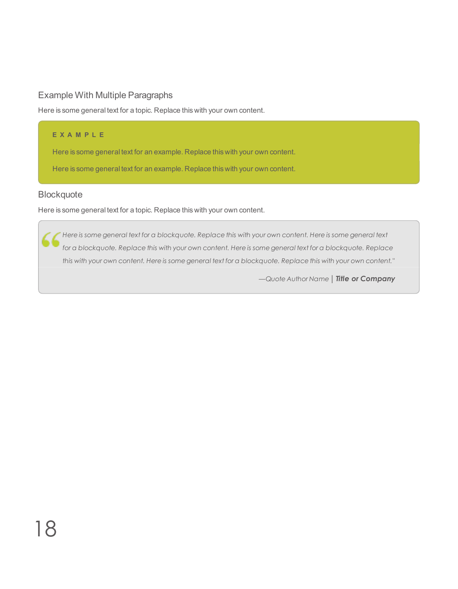# Example With Multiple Paragraphs

Here is some general text for a topic. Replace this with your own content.

#### **E X A M P L E**

Here is some general text for an example. Replace this with your own content.

Here is some general text for an example. Replace this with your own content.

# **Blockquote**

Here is some general text for a topic. Replace this with your own content.

Here is some general text for a blockquote. Replace this with your own content. Here is some general text 4 for a blockquote. Replace this with your own content. Here is some general text for a blockquote. Replace this with your own content. Here is some general text for a blockquote. Replace this with your own content."

*—Quote Author Name │Title or Company*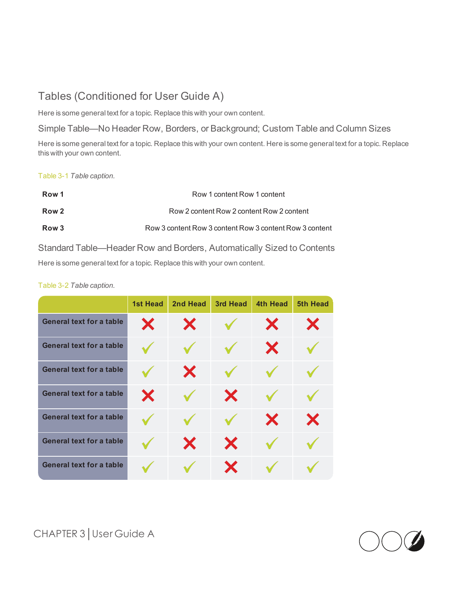# <span id="page-18-0"></span>Tables (Conditioned for User Guide A)

Here is some general text for a topic. Replace this with your own content.

Simple Table—No Header Row, Borders, or Background; Custom Table and Column Sizes

Here is some general text for a topic. Replace this with your own content. Here is some general text for a topic. Replace this with your own content.

<span id="page-18-1"></span>Table 3-1 *Table caption.*

| Row 1            | Row 1 content Row 1 content                             |
|------------------|---------------------------------------------------------|
| Row <sub>2</sub> | Row 2 content Row 2 content Row 2 content               |
| Row 3            | Row 3 content Row 3 content Row 3 content Row 3 content |

Standard Table—Header Row and Borders, Automatically Sized to Contents Here is some general text for a topic. Replace this with your own content.

#### Table 3-2 *Table caption.*

|                                 | <b>1st Head</b> | 2nd Head | 3rd Head | 4th Head | 5th Head |
|---------------------------------|-----------------|----------|----------|----------|----------|
| <b>General text for a table</b> | X               | X        |          | X        | Х        |
| <b>General text for a table</b> |                 |          |          | X        |          |
| <b>General text for a table</b> |                 | X        |          |          |          |
| <b>General text for a table</b> | X               |          | X        |          |          |
| <b>General text for a table</b> |                 |          |          | X        | X        |
| <b>General text for a table</b> |                 | X        | X        |          |          |
| <b>General text for a table</b> |                 |          | X        |          |          |

CHAPTER 3│User Guide A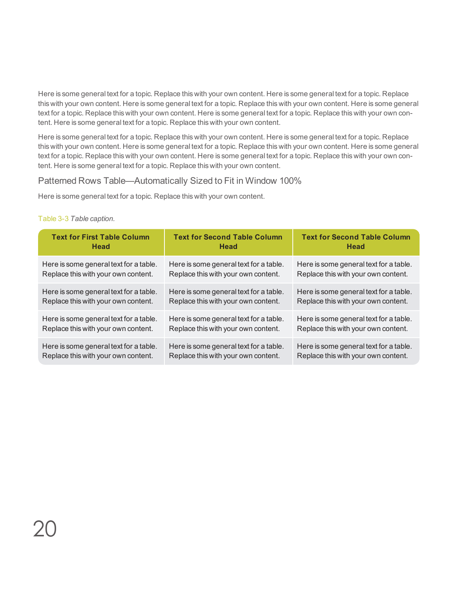Here is some general text for a topic. Replace this with your own content. Here is some general text for a topic. Replace this with your own content. Here is some general text for a topic. Replace this with your own content. Here is some general text for a topic. Replace this with your own content. Here is some general text for a topic. Replace this with your own content. Here is some general text for a topic. Replace this with your own content.

Here is some general text for a topic. Replace this with your own content. Here is some general text for a topic. Replace this with your own content. Here is some general text for a topic. Replace this with your own content. Here is some general text for a topic. Replace this with your own content. Here is some general text for a topic. Replace this with your own content. Here is some general text for a topic. Replace this with your own content.

#### <span id="page-19-0"></span>Patterned Rows Table—Automatically Sized to Fit in Window 100%

Here is some general text for a topic. Replace this with your own content.

#### Table 3-3 *Table caption.*

| <b>Text for First Table Column</b>     | <b>Text for Second Table Column</b>    | <b>Text for Second Table Column</b>    |
|----------------------------------------|----------------------------------------|----------------------------------------|
| Head                                   | Head                                   | Head                                   |
| Here is some general text for a table. | Here is some general text for a table. | Here is some general text for a table. |
| Replace this with your own content.    | Replace this with your own content.    | Replace this with your own content.    |
| Here is some general text for a table. | Here is some general text for a table. | Here is some general text for a table. |
| Replace this with your own content.    | Replace this with your own content.    | Replace this with your own content.    |
| Here is some general text for a table. | Here is some general text for a table. | Here is some general text for a table. |
| Replace this with your own content.    | Replace this with your own content.    | Replace this with your own content.    |
| Here is some general text for a table. | Here is some general text for a table. | Here is some general text for a table. |
| Replace this with your own content.    | Replace this with your own content.    | Replace this with your own content.    |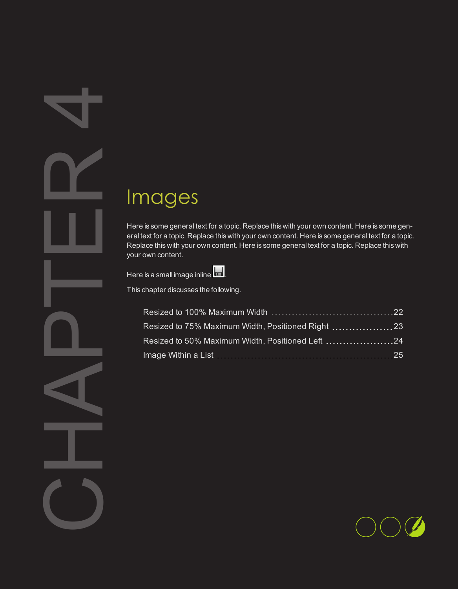# <span id="page-20-1"></span>Images

<span id="page-20-0"></span>4

| Images                                                                                                                                                                                                                                                                                                          |  |
|-----------------------------------------------------------------------------------------------------------------------------------------------------------------------------------------------------------------------------------------------------------------------------------------------------------------|--|
| Here is some general text for a topic. Replace this with your own content. Here is some ge<br>eral text for a topic. Replace this with your own content. Here is some general text for a to<br>Replace this with your own content. Here is some general text for a topic. Replace this wit<br>your own content. |  |
| Here is a small image inline                                                                                                                                                                                                                                                                                    |  |
| This chapter discusses the following.                                                                                                                                                                                                                                                                           |  |
|                                                                                                                                                                                                                                                                                                                 |  |
| Resized to 75% Maximum Width, Positioned Right  23                                                                                                                                                                                                                                                              |  |
| Resized to 50% Maximum Width, Positioned Left 24                                                                                                                                                                                                                                                                |  |
|                                                                                                                                                                                                                                                                                                                 |  |
|                                                                                                                                                                                                                                                                                                                 |  |
|                                                                                                                                                                                                                                                                                                                 |  |
|                                                                                                                                                                                                                                                                                                                 |  |
|                                                                                                                                                                                                                                                                                                                 |  |
|                                                                                                                                                                                                                                                                                                                 |  |
|                                                                                                                                                                                                                                                                                                                 |  |
|                                                                                                                                                                                                                                                                                                                 |  |
|                                                                                                                                                                                                                                                                                                                 |  |

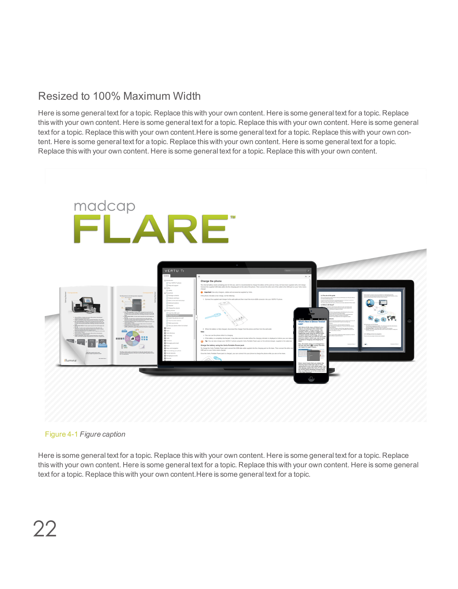# <span id="page-21-0"></span>Resized to 100% Maximum Width

Here is some general text for a topic. Replace this with your own content. Here is some general text for a topic. Replace this with your own content. Here is some general text for a topic. Replace this with your own content. Here is some general text for a topic. Replace this with your own content.Here is some general text for a topic. Replace this with your own content. Here is some general text for a topic. Replace this with your own content. Here is some general text for a topic. Replace this with your own content. Here is some general text for a topic. Replace this with your own content.



<span id="page-21-1"></span>

Here is some general text for a topic. Replace this with your own content. Here is some general text for a topic. Replace this with your own content. Here is some general text for a topic. Replace this with your own content. Here is some general text for a topic. Replace this with your own content.Here is some general text for a topic.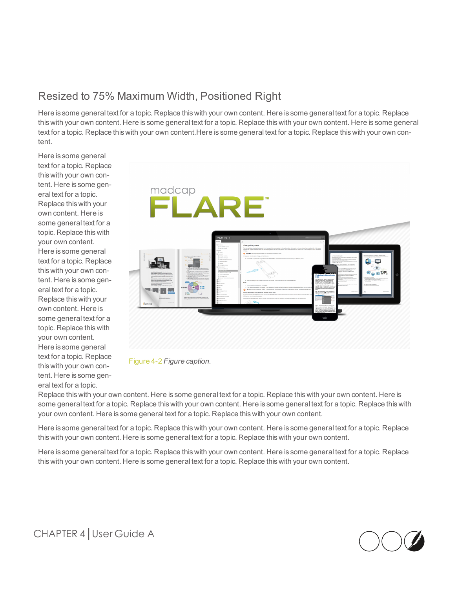# <span id="page-22-0"></span>Resized to 75% Maximum Width, Positioned Right

Here is some general text for a topic. Replace this with your own content. Here is some general text for a topic. Replace this with your own content. Here is some general text for a topic. Replace this with your own content. Here is some general text for a topic. Replace this with your own content.Here is some general text for a topic. Replace this with your own content.

Here is some general text for a topic. Replace this with your own content. Here is some general text for a topic. Replace this with your own content. Here is some general text for a topic. Replace this with your own content. Here is some general text for a topic. Replace this with your own content. Here is some general text for a topic. Replace this with your own content. Here is some general text for a topic. Replace this with your own content. Here is some general text for a topic. Replace this with your own content. Here is some general text for a topic.





Replace this with your own content. Here is some general text for a topic. Replace this with your own content. Here is some general text for a topic. Replace this with your own content. Here is some general text for a topic. Replace this with your own content. Here is some general text for a topic. Replace this with your own content.

Here is some general text for a topic. Replace this with your own content. Here is some general text for a topic. Replace this with your own content. Here is some general text for a topic. Replace this with your own content.

Here is some general text for a topic. Replace this with your own content. Here is some general text for a topic. Replace this with your own content. Here is some general text for a topic. Replace this with your own content.

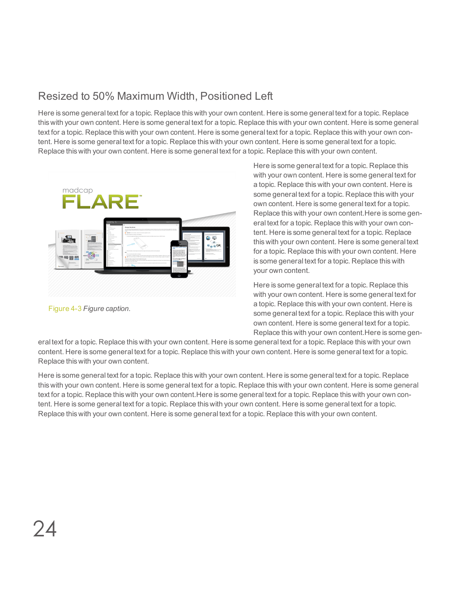# <span id="page-23-0"></span>Resized to 50% Maximum Width, Positioned Left

Here is some general text for a topic. Replace this with your own content. Here is some general text for a topic. Replace this with your own content. Here is some general text for a topic. Replace this with your own content. Here is some general text for a topic. Replace this with your own content. Here is some general text for a topic. Replace this with your own content. Here is some general text for a topic. Replace this with your own content. Here is some general text for a topic. Replace this with your own content. Here is some general text for a topic. Replace this with your own content.



Figure 4-3 *Figure caption.*

Here is some general text for a topic. Replace this with your own content. Here is some general text for a topic. Replace this with your own content. Here is some general text for a topic. Replace this with your own content. Here is some general text for a topic. Replace this with your own content.Here is some general text for a topic. Replace this with your own content. Here is some general text for a topic. Replace this with your own content. Here is some general text for a topic. Replace this with your own content. Here is some general text for a topic. Replace this with your own content.

Here is some general text for a topic. Replace this with your own content. Here is some general text for a topic. Replace this with your own content. Here is some general text for a topic. Replace this with your own content. Here is some general text for a topic. Replace this with your own content.Here is some gen-

eral text for a topic. Replace this with your own content. Here is some general text for a topic. Replace this with your own content. Here is some general text for a topic. Replace this with your own content. Here is some general text for a topic. Replace this with your own content.

Here is some general text for a topic. Replace this with your own content. Here is some general text for a topic. Replace this with your own content. Here is some general text for a topic. Replace this with your own content. Here is some general text for a topic. Replace this with your own content.Here is some general text for a topic. Replace this with your own content. Here is some general text for a topic. Replace this with your own content. Here is some general text for a topic. Replace this with your own content. Here is some general text for a topic. Replace this with your own content.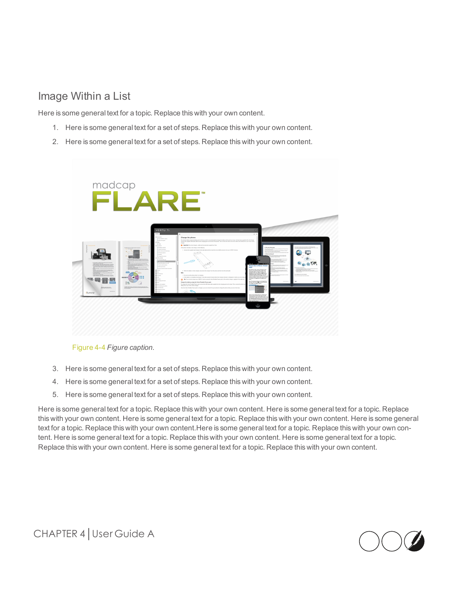# <span id="page-24-0"></span>Image Within a List

Here is some general text for a topic. Replace this with your own content.

- 1. Here is some general text for a set of steps. Replace this with your own content.
- 2. Here is some general text for a set of steps. Replace this with your own content.



Figure 4-4 *Figure caption.*

- 3. Here is some general text for a set of steps. Replace this with your own content.
- 4. Here is some general text for a set of steps. Replace this with your own content.
- 5. Here is some general text for a set of steps. Replace this with your own content.

Here is some general text for a topic. Replace this with your own content. Here is some general text for a topic. Replace this with your own content. Here is some general text for a topic. Replace this with your own content. Here is some general text for a topic. Replace this with your own content.Here is some general text for a topic. Replace this with your own content. Here is some general text for a topic. Replace this with your own content. Here is some general text for a topic. Replace this with your own content. Here is some general text for a topic. Replace this with your own content.

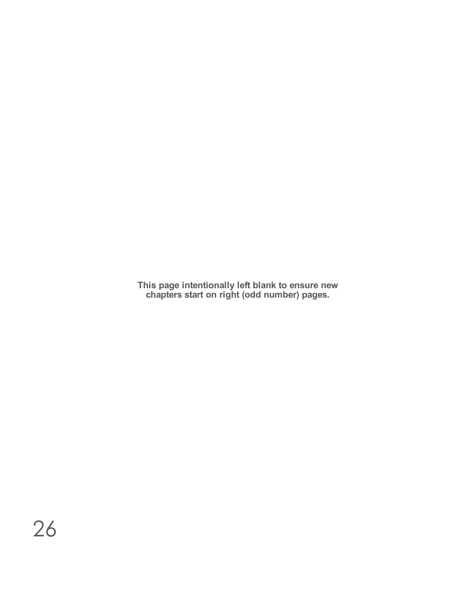**This page intentionally left blank to ensure new chapters start on right (odd number) pages.**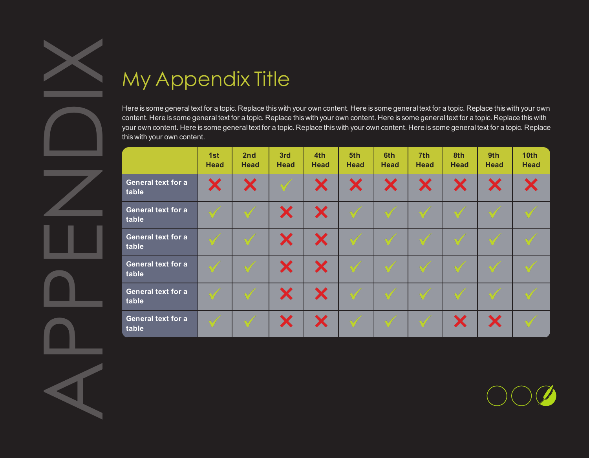<span id="page-26-0"></span>

<span id="page-26-1"></span>

| Here is some general text for a topic. Replace this with your own content. Here is some general text for a topic. Replace this with your owr<br>content. Here is some general text for a topic. Replace this with your own content. Here is some general text for a topic. Replace this with<br>your own content. Here is some general text for a topic. Replace this with your own content. Here is some general text for a topic. Replace<br>this with your own content. |                    |                    |             |                    |                    |                    |                    |                    |                    |                                 |
|----------------------------------------------------------------------------------------------------------------------------------------------------------------------------------------------------------------------------------------------------------------------------------------------------------------------------------------------------------------------------------------------------------------------------------------------------------------------------|--------------------|--------------------|-------------|--------------------|--------------------|--------------------|--------------------|--------------------|--------------------|---------------------------------|
|                                                                                                                                                                                                                                                                                                                                                                                                                                                                            | 1st<br><b>Head</b> | 2nd<br><b>Head</b> | 3rd<br>Head | 4th<br><b>Head</b> | 5th<br><b>Head</b> | 6th<br><b>Head</b> | 7th<br><b>Head</b> | 8th<br><b>Head</b> | 9th<br><b>Head</b> | 10 <sub>th</sub><br><b>Head</b> |
| <b>General text for a</b><br>table                                                                                                                                                                                                                                                                                                                                                                                                                                         | Х                  | X                  |             | X                  | X                  | X                  | X                  | X                  | X                  | X                               |
| <b>General text for a</b><br>table                                                                                                                                                                                                                                                                                                                                                                                                                                         |                    |                    | X           | X                  |                    | $\mathbb V$        |                    |                    |                    |                                 |
| <b>General text for a</b><br>table                                                                                                                                                                                                                                                                                                                                                                                                                                         |                    |                    | X           | X                  |                    |                    |                    |                    |                    |                                 |
| <b>General text for a</b><br>table                                                                                                                                                                                                                                                                                                                                                                                                                                         | $\sqrt{ }$         | $\sqrt{ }$         | X           | X                  |                    |                    |                    |                    |                    |                                 |
| <b>General text for a</b><br>table                                                                                                                                                                                                                                                                                                                                                                                                                                         |                    |                    | X           | X                  |                    |                    |                    |                    |                    |                                 |
| <b>General text for a</b><br>table                                                                                                                                                                                                                                                                                                                                                                                                                                         | $\mathcal{A}$      |                    | X           | X                  |                    |                    |                    | X                  | X                  |                                 |

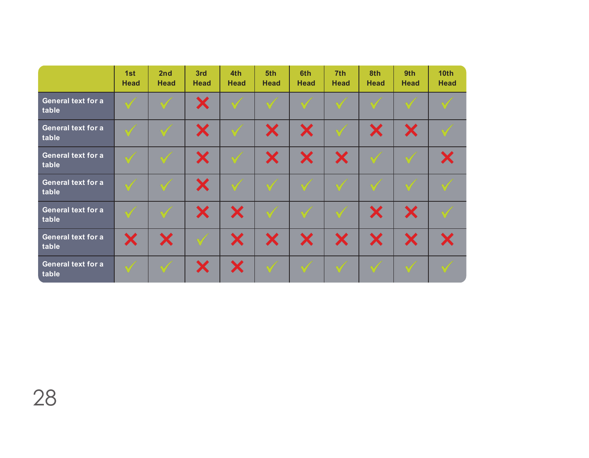|                                    | 1st<br>Head | 2 <sub>nd</sub><br>Head | 3rd<br>Head  | 4th<br><b>Head</b> | 5th<br>Head  | 6th<br><b>Head</b> | 7th<br><b>Head</b> | 8th<br><b>Head</b> | 9th<br>Head          | 10 <sub>th</sub><br><b>Head</b> |
|------------------------------------|-------------|-------------------------|--------------|--------------------|--------------|--------------------|--------------------|--------------------|----------------------|---------------------------------|
| <b>General text for a</b><br>table | $\sqrt{}$   | $\mathscr A$            | X            | $\mathscr{A}$      | V            | $\mathcal{N}$      | $\mathcal{N}$      | $\sqrt{}$          | $\blacktriangledown$ | $\mathscr{A}$                   |
| <b>General text for a</b><br>table | $\sqrt{}$   | $\sqrt{ }$              | X            | $\mathcal{A}$      | X            | X                  | $\sqrt{}$          | Х                  | Х                    | $\mathscr{A}$                   |
| <b>General text for a</b><br>table | $\sqrt{ }$  | $\mathcal{A}$           | X            | $\sqrt{ }$         | Х            | X                  | X                  | $\mathcal{A}$      | $\mathscr A$         | X                               |
| <b>General text for a</b><br>table | $\sqrt{}$   | V                       | X            | $\sqrt{ }$         | V            | $\sqrt{}$          | $\mathscr A$       | $\sqrt{ }$         | $\mathcal{N}$        | $\mathscr{A}$                   |
| <b>General text for a</b><br>table | $\sqrt{ }$  | $\sqrt{ }$              | X            | X                  | $\mathscr A$ | $\mathcal{N}$      | $\mathscr A$       | Х                  | X                    | $\mathscr{N}$                   |
| <b>General text for a</b><br>table | X           | X                       | $\mathscr A$ | X                  | X            | X                  | X                  | X                  | Х                    | X                               |
| <b>General text for a</b><br>table | $\sqrt{}$   | $\mathscr A$            | X            | X                  | V            | V                  | V                  | V                  | $\mathcal{A}$        | $\mathscr{A}$                   |

28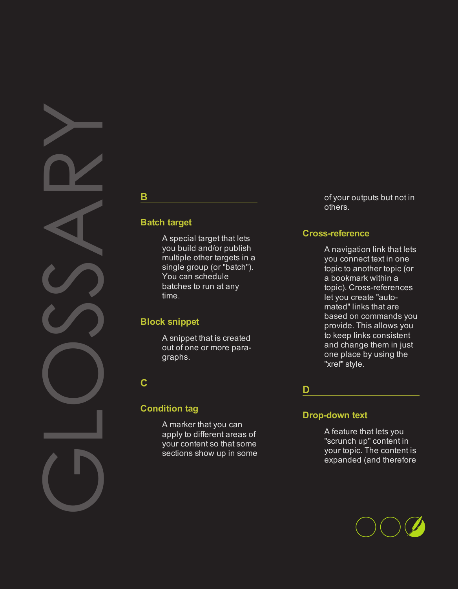# <span id="page-28-0"></span>GLOSSARY

# **Batch target**

**B**

A special target that lets you build and/or publish multiple other targets in a single group (or "batch"). You can schedule batches to run at any time.

# **Block snippet**

A snippet that is created out of one or more paragraphs.

**C**

# **Condition tag**

A marker that you can apply to different areas of your content so that some sections show up in some of your outputs but not in others.

# **Cross-reference**

A navigation link that lets you connect text in one topic to another topic (or a bookmark within a topic). Cross-references let you create "automated" links that are based on commands you provide. This allows you to keep links consistent and change them in just one place by using the "xref" style.

# **D**

# **Drop-down text**

A feature that lets you "scrunch up" content in your topic. The content is expanded (and therefore

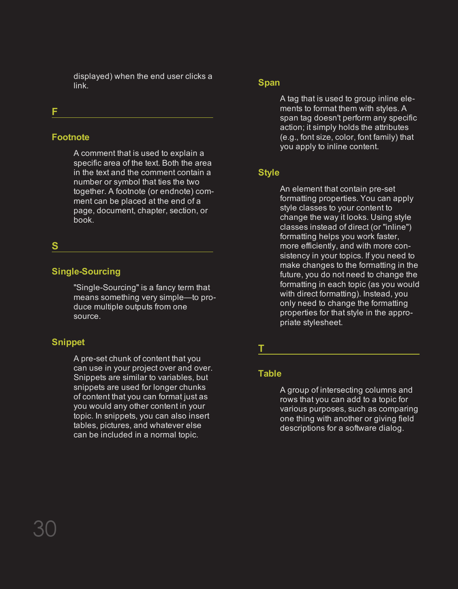displayed) when the end user clicks a link.

# **F**

# **Footnote**

A comment that is used to explain a specific area of the text. Both the area in the text and the comment contain a number or symbol that ties the two together. A footnote (or endnote) comment can be placed at the end of a page, document, chapter, section, or book.

# **S**

# **Single-Sourcing**

"Single-Sourcing" is a fancy term that means something very simple—to produce multiple outputs from one source.

# **Snippet**

A pre-set chunk of content that you can use in your project over and over. Snippets are similar to variables, but snippets are used for longer chunks of content that you can format just as you would any other content in your topic. In snippets, you can also insert tables, pictures, and whatever else can be included in a normal topic.

#### **Span**

A tag that is used to group inline elements to format them with styles. A span tag doesn't perform any specific action; it simply holds the attributes (e.g., font size, color, font family) that you apply to inline content.

# **Style**

An element that contain pre-set formatting properties. You can apply style classes to your content to change the way it looks. Using style classes instead of direct (or "inline") formatting helps you work faster, more efficiently, and with more consistency in your topics. If you need to make changes to the formatting in the future, you do not need to change the formatting in each topic (as you would with direct formatting). Instead, you only need to change the formatting properties for that style in the appropriate stylesheet.

# **T**

# **Table**

A group of intersecting columns and rows that you can add to a topic for various purposes, such as comparing one thing with another or giving field descriptions for a software dialog.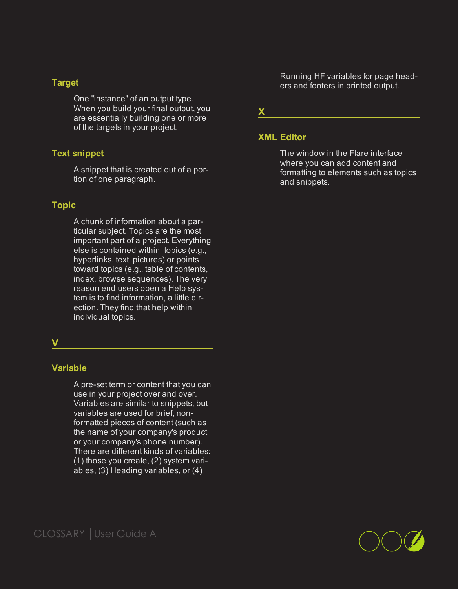#### **Target**

One "instance" of an output type. When you build your final output, you are essentially building one or more of the targets in your project.

#### **Text snippet**

A snippet that is created out of a portion of one paragraph.

# **Topic**

A chunk of information about a particular subject. Topics are the most important part of a project. Everything else is contained within topics (e.g., hyperlinks, text, pictures) or points toward topics (e.g., table of contents, index, browse sequences). The very reason end users open a Help system is to find information, a little direction. They find that help within individual topics.

<u> 1980 - Johann Barn, mars an t-Amerikaansk ferskeider (</u>

#### **V**

#### **Variable**

A pre-set term or content that you can use in your project over and over. Variables are similar to snippets, but variables are used for brief, nonformatted pieces of content (such as the name of your company's product or your company's phone number). There are different kinds of variables: (1) those you create, (2) system variables, (3) Heading variables, or (4)

Running HF variables for page headers and footers in printed output.

**X**

#### **XML Editor**

The window in the Flare interface where you can add content and formatting to elements such as topics and snippets.

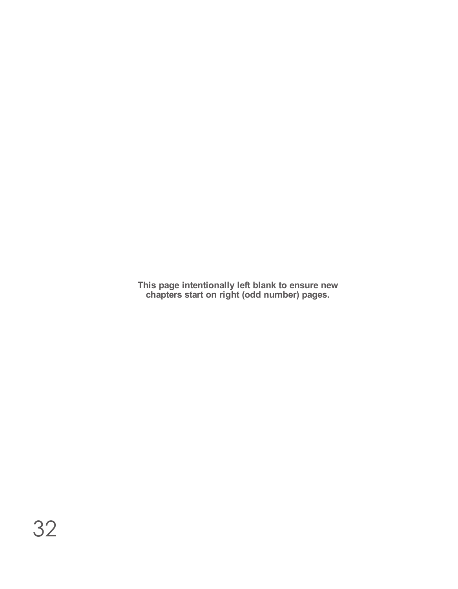**This page intentionally left blank to ensure new chapters start on right (odd number) pages.**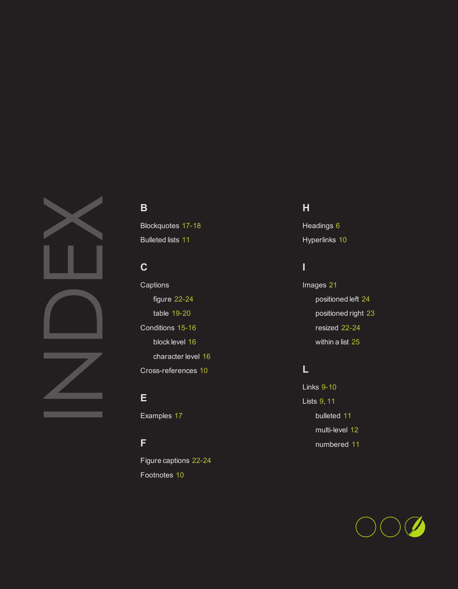<span id="page-32-0"></span>

# **B**

Blockquotes [17-18](#page-16-0) Bulleted lists [11](#page-10-1)

# **C**

**Captions** figure [22-24](#page-21-1) table [19-20](#page-18-1) Conditions [15-16](#page-14-1) block level [16](#page-15-1) character level [16](#page-15-2) Cross-references [10](#page-9-1)

# **E**

Examples [17](#page-16-0)

# **F**

Figure captions [22-24](#page-21-1) Footnotes [10](#page-9-2)

# **H**

Headings [6](#page-5-0) Hyperlinks [10](#page-9-3)

# **I**

Images [21](#page-20-1) positioned left [24](#page-23-0) positioned right [23](#page-22-0) resized [22-24](#page-21-0) within a list [25](#page-24-0)

# **L**

Links [9-10](#page-8-1) Lists [9](#page-8-1), [11](#page-10-0) bulleted [11](#page-10-1) multi-level [12](#page-11-0) numbered [11](#page-10-2)